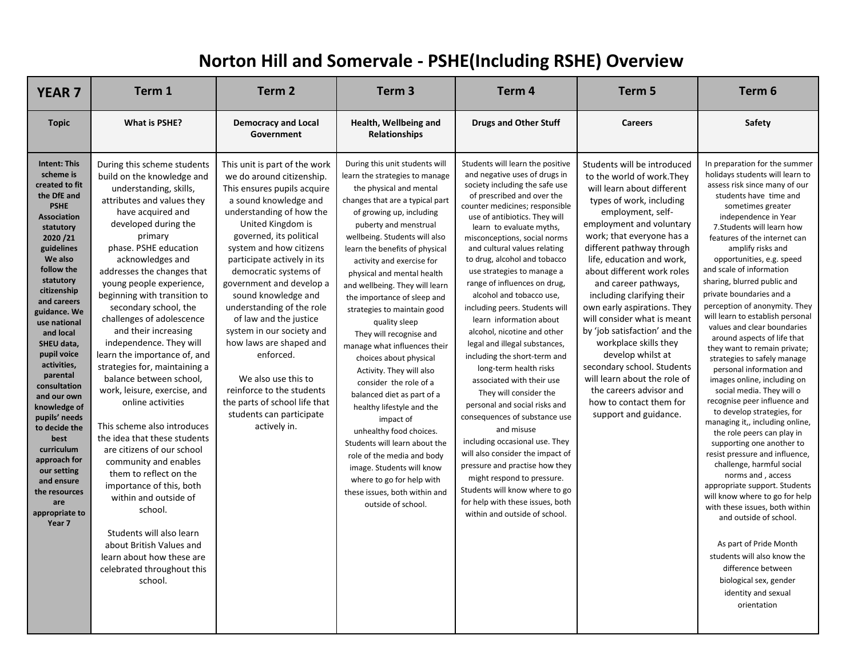## **Norton Hill and Somervale - PSHE(Including RSHE) Overview**

| <b>Topic</b><br><b>What is PSHE?</b><br>Health, Wellbeing and<br><b>Drugs and Other Stuff</b><br>Safety<br><b>Democracy and Local</b><br><b>Careers</b><br><b>Relationships</b><br>Government<br>During this unit students will<br><b>Intent: This</b><br>During this scheme students<br>Students will learn the positive<br>Students will be introduced<br>This unit is part of the work<br>scheme is<br>and negative uses of drugs in<br>build on the knowledge and<br>we do around citizenship.<br>learn the strategies to manage<br>to the world of work. They<br>society including the safe use<br>created to fit<br>understanding, skills,<br>This ensures pupils acquire<br>the physical and mental<br>will learn about different<br>the DfE and<br>of prescribed and over the<br>attributes and values they<br>types of work, including<br>a sound knowledge and<br>changes that are a typical part<br><b>PSHE</b><br>counter medicines; responsible<br>sometimes greater<br>understanding of how the<br>employment, self-<br>have acquired and<br>of growing up, including<br><b>Association</b><br>use of antibiotics. They will<br>developed during the<br>United Kingdom is<br>employment and voluntary<br>puberty and menstrual<br>statutory<br>learn to evaluate myths,<br>work; that everyone has a<br>governed, its political<br>primary<br>wellbeing. Students will also<br>2020/21<br>misconceptions, social norms<br>phase. PSHE education<br>system and how citizens<br>different pathway through<br>guidelines<br>learn the benefits of physical<br>and cultural values relating<br>amplify risks and<br>We also<br>to drug, alcohol and tobacco<br>acknowledges and<br>participate actively in its<br>life, education and work,<br>activity and exercise for<br>follow the<br>and scale of information<br>about different work roles<br>addresses the changes that<br>democratic systems of<br>use strategies to manage a<br>physical and mental health<br>statutory<br>government and develop a<br>young people experience,<br>range of influences on drug,<br>and career pathways,<br>and wellbeing. They will learn<br>citizenship<br>private boundaries and a<br>beginning with transition to<br>sound knowledge and<br>including clarifying their<br>alcohol and tobacco use,<br>the importance of sleep and<br>and careers<br>understanding of the role<br>secondary school, the<br>own early aspirations. They<br>including peers. Students will<br>strategies to maintain good<br>guidance. We<br>challenges of adolescence<br>of law and the justice<br>will consider what is meant<br>learn information about<br>quality sleep<br>use national<br>by 'job satisfaction' and the<br>and their increasing<br>system in our society and<br>alcohol, nicotine and other<br>and local<br>They will recognise and<br>independence. They will<br>how laws are shaped and<br>workplace skills they<br>SHEU data,<br>legal and illegal substances,<br>manage what influences their<br>learn the importance of, and<br>pupil voice<br>enforced.<br>develop whilst at<br>including the short-term and<br>choices about physical<br>activities,<br>strategies for, maintaining a<br>secondary school. Students<br>long-term health risks<br>Activity. They will also<br>parental<br>balance between school,<br>will learn about the role of<br>We also use this to<br>associated with their use<br>consider the role of a<br>consultation<br>reinforce to the students<br>work, leisure, exercise, and<br>the careers advisor and | <b>YEAR 7</b> | Term 1 | Term <sub>2</sub> | Term <sub>3</sub>          | Term 4                 | Term <sub>5</sub> | Term 6                                                                                                                                                                                                                                                                                                                                                                                                                                                                                                                                                                                                                                                                                                                                                                                                                                                                                                                                                                                                                              |
|-------------------------------------------------------------------------------------------------------------------------------------------------------------------------------------------------------------------------------------------------------------------------------------------------------------------------------------------------------------------------------------------------------------------------------------------------------------------------------------------------------------------------------------------------------------------------------------------------------------------------------------------------------------------------------------------------------------------------------------------------------------------------------------------------------------------------------------------------------------------------------------------------------------------------------------------------------------------------------------------------------------------------------------------------------------------------------------------------------------------------------------------------------------------------------------------------------------------------------------------------------------------------------------------------------------------------------------------------------------------------------------------------------------------------------------------------------------------------------------------------------------------------------------------------------------------------------------------------------------------------------------------------------------------------------------------------------------------------------------------------------------------------------------------------------------------------------------------------------------------------------------------------------------------------------------------------------------------------------------------------------------------------------------------------------------------------------------------------------------------------------------------------------------------------------------------------------------------------------------------------------------------------------------------------------------------------------------------------------------------------------------------------------------------------------------------------------------------------------------------------------------------------------------------------------------------------------------------------------------------------------------------------------------------------------------------------------------------------------------------------------------------------------------------------------------------------------------------------------------------------------------------------------------------------------------------------------------------------------------------------------------------------------------------------------------------------------------------------------------------------------------------------------------------------------------------------------------------------------------------------------------------------------------------------------------------------------------------------------------------------------------------------------------------------------------------------------------------------------------------------------------------------------------------------------|---------------|--------|-------------------|----------------------------|------------------------|-------------------|-------------------------------------------------------------------------------------------------------------------------------------------------------------------------------------------------------------------------------------------------------------------------------------------------------------------------------------------------------------------------------------------------------------------------------------------------------------------------------------------------------------------------------------------------------------------------------------------------------------------------------------------------------------------------------------------------------------------------------------------------------------------------------------------------------------------------------------------------------------------------------------------------------------------------------------------------------------------------------------------------------------------------------------|
|                                                                                                                                                                                                                                                                                                                                                                                                                                                                                                                                                                                                                                                                                                                                                                                                                                                                                                                                                                                                                                                                                                                                                                                                                                                                                                                                                                                                                                                                                                                                                                                                                                                                                                                                                                                                                                                                                                                                                                                                                                                                                                                                                                                                                                                                                                                                                                                                                                                                                                                                                                                                                                                                                                                                                                                                                                                                                                                                                                                                                                                                                                                                                                                                                                                                                                                                                                                                                                                                                                                                                       |               |        |                   |                            |                        |                   |                                                                                                                                                                                                                                                                                                                                                                                                                                                                                                                                                                                                                                                                                                                                                                                                                                                                                                                                                                                                                                     |
| the parts of school life that<br>how to contact them for<br>online activities<br>personal and social risks and<br>knowledge of<br>healthy lifestyle and the<br>students can participate<br>support and guidance.<br>consequences of substance use<br>pupils' needs<br>impact of<br>This scheme also introduces<br>actively in.<br>to decide the<br>and misuse<br>unhealthy food choices.<br>the idea that these students<br>best<br>including occasional use. They<br>Students will learn about the<br>curriculum<br>are citizens of our school<br>will also consider the impact of<br>role of the media and body<br>approach for<br>community and enables<br>pressure and practise how they<br>image. Students will know<br>our setting<br>them to reflect on the<br>norms and, access<br>might respond to pressure.<br>where to go for help with<br>and ensure<br>importance of this, both<br>Students will know where to go<br>the resources<br>these issues, both within and<br>within and outside of<br>for help with these issues, both<br>are<br>outside of school.<br>school.<br>appropriate to<br>within and outside of school.<br>Year 7<br>Students will also learn<br>about British Values and<br>learn about how these are<br>difference between<br>celebrated throughout this<br>school.<br>identity and sexual                                                                                                                                                                                                                                                                                                                                                                                                                                                                                                                                                                                                                                                                                                                                                                                                                                                                                                                                                                                                                                                                                                                                                                                                                                                                                                                                                                                                                                                                                                                                                                                                                                                                                                                                                                                                                                                                                                                                                                                                                                                                                                                                                                                                                         | and our own   |        |                   | balanced diet as part of a | They will consider the |                   | In preparation for the summer<br>holidays students will learn to<br>assess risk since many of our<br>students have time and<br>independence in Year<br>7. Students will learn how<br>features of the internet can<br>opportunities, e.g. speed<br>sharing, blurred public and<br>perception of anonymity. They<br>will learn to establish personal<br>values and clear boundaries<br>around aspects of life that<br>they want to remain private;<br>strategies to safely manage<br>personal information and<br>images online, including on<br>social media. They will o<br>recognise peer influence and<br>to develop strategies, for<br>managing it,, including online,<br>the role peers can play in<br>supporting one another to<br>resist pressure and influence,<br>challenge, harmful social<br>appropriate support. Students<br>will know where to go for help<br>with these issues, both within<br>and outside of school.<br>As part of Pride Month<br>students will also know the<br>biological sex, gender<br>orientation |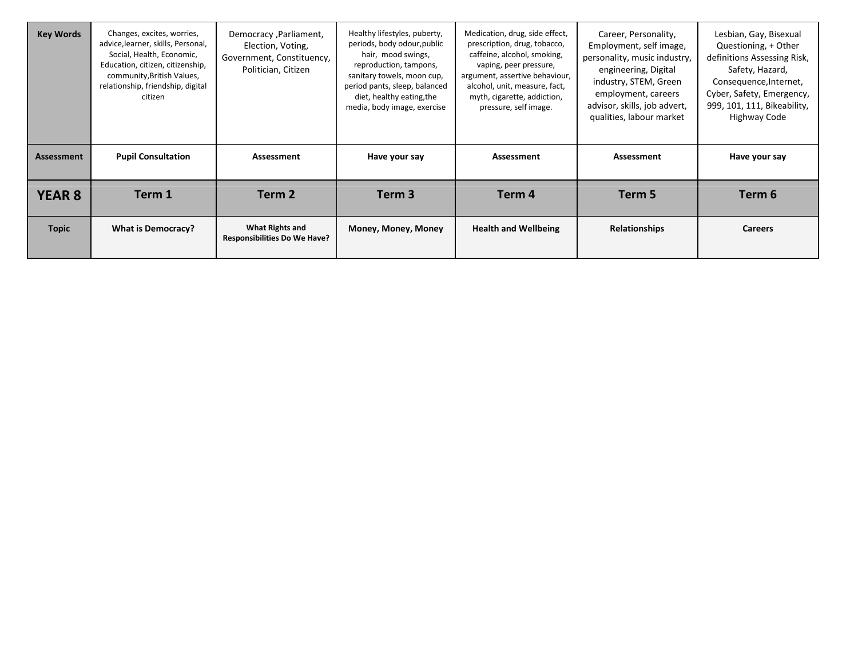| <b>Key Words</b>  | Changes, excites, worries,<br>advice, learner, skills, Personal,<br>Social, Health, Economic,<br>Education, citizen, citizenship,<br>community, British Values,<br>relationship, friendship, digital<br>citizen | Democracy, Parliament,<br>Election, Voting,<br>Government, Constituency,<br>Politician, Citizen | Healthy lifestyles, puberty,<br>periods, body odour, public<br>hair, mood swings,<br>reproduction, tampons,<br>sanitary towels, moon cup,<br>period pants, sleep, balanced<br>diet, healthy eating, the<br>media, body image, exercise | Medication, drug, side effect,<br>prescription, drug, tobacco,<br>caffeine, alcohol, smoking,<br>vaping, peer pressure,<br>argument, assertive behaviour,<br>alcohol, unit, measure, fact,<br>myth, cigarette, addiction,<br>pressure, self image. | Career, Personality,<br>Employment, self image,<br>personality, music industry,<br>engineering, Digital<br>industry, STEM, Green<br>employment, careers<br>advisor, skills, job advert,<br>qualities, labour market | Lesbian, Gay, Bisexual<br>Questioning, + Other<br>definitions Assessing Risk,<br>Safety, Hazard,<br>Consequence, Internet,<br>Cyber, Safety, Emergency,<br>999, 101, 111, Bikeability,<br>Highway Code |
|-------------------|-----------------------------------------------------------------------------------------------------------------------------------------------------------------------------------------------------------------|-------------------------------------------------------------------------------------------------|----------------------------------------------------------------------------------------------------------------------------------------------------------------------------------------------------------------------------------------|----------------------------------------------------------------------------------------------------------------------------------------------------------------------------------------------------------------------------------------------------|---------------------------------------------------------------------------------------------------------------------------------------------------------------------------------------------------------------------|--------------------------------------------------------------------------------------------------------------------------------------------------------------------------------------------------------|
| <b>Assessment</b> | <b>Pupil Consultation</b>                                                                                                                                                                                       | Assessment                                                                                      | Have your say                                                                                                                                                                                                                          | Assessment                                                                                                                                                                                                                                         | Assessment                                                                                                                                                                                                          | Have your say                                                                                                                                                                                          |
| <b>YEAR 8</b>     | Term 1                                                                                                                                                                                                          | Term 2                                                                                          | Term 3                                                                                                                                                                                                                                 | Term 4                                                                                                                                                                                                                                             | Term 5                                                                                                                                                                                                              | Term 6                                                                                                                                                                                                 |
| <b>Topic</b>      | What is Democracy?                                                                                                                                                                                              | What Rights and<br><b>Responsibilities Do We Have?</b>                                          | Money, Money, Money                                                                                                                                                                                                                    | <b>Health and Wellbeing</b>                                                                                                                                                                                                                        | <b>Relationships</b>                                                                                                                                                                                                | <b>Careers</b>                                                                                                                                                                                         |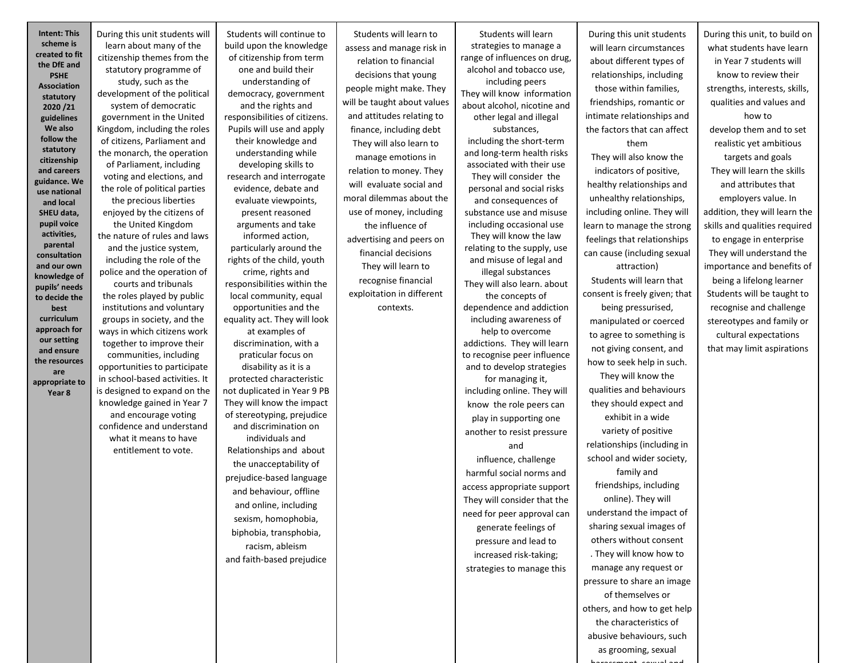**Intent: This scheme is created to fit the DfE and PSHE Association statutory 2020 /21 guidelines We also follow the statutory citizenship and careers guidance. We use national and local SHEU data, pupil voice activities, parental consultation and our own knowledge of pupils' needs to decide the best curriculum approach for our setting and ensure the resources are appropriate to Year 8**

During this unit students will learn about many of the citizenship themes from the statutory programme of study, such as the development of the political system of democratic government in the United Kingdom, including the roles of citizens, Parliament and the monarch, the operation of Parliament, including voting and elections, and the role of political parties the precious liberties enjoyed by the citizens of the United Kingdom the nature of rules and laws and the justice system, including the role of the police and the operation of courts and tribunals the roles played by public institutions and voluntary groups in society, and the ways in which citizens work together to improve their communities, including opportunities to participate in school-based activities. It is designed to expand on the knowledge gained in Year 7 and encourage voting confidence and understand what it means to have entitlement to vote.

Students will continue to build upon the knowledge of citizenship from term one and build their understanding of democracy, government and the rights and responsibilities of citizens. Pupils will use and apply their knowledge and understanding while developing skills to research and interrogate evidence, debate and evaluate viewpoints, present reasoned arguments and take informed action, particularly around the rights of the child, youth crime, rights and responsibilities within the local community, equal opportunities and the equality act. They will look at examples of discrimination, with a praticular focus on disability as it is a protected characteristic not duplicated in Year 9 PB They will know the impact of stereotyping, prejudice and discrimination on individuals and Relationships and about

the unacceptability of prejudice-based language and behaviour, offline and online, including sexism, homophobia, biphobia, transphobia, racism, ableism and faith-based prejudice

Students will learn to assess and manage risk in relation to financial decisions that young people might make. They will be taught about values and attitudes relating to finance, including debt They will also learn to manage emotions in relation to money. They will evaluate social and moral dilemmas about the use of money, including the influence of advertising and peers on financial decisions They will learn to recognise financial exploitation in different contexts.

Students will learn strategies to manage a range of influences on drug, alcohol and tobacco use, including peers They will know information about alcohol, nicotine and other legal and illegal substances, including the short-term and long-term health risks associated with their use They will consider the personal and social risks and consequences of substance use and misuse including occasional use They will know the law relating to the supply, use and misuse of legal and illegal substances They will also learn. about the concepts of dependence and addiction including awareness of help to overcome addictions. They will learn to recognise peer influence and to develop strategies for managing it, including online. They will know the role peers can play in supporting one another to resist pressure and influence, challenge harmful social norms and access appropriate support They will consider that the need for peer approval can generate feelings of pressure and lead to increased risk-taking; strategies to manage this

During this unit students will learn circumstances about different types of relationships, including those within families, friendships, romantic or intimate relationships and the factors that can affect them They will also know the indicators of positive, healthy relationships and unhealthy relationships, including online. They will learn to manage the strong feelings that relationships can cause (including sexual attraction) Students will learn that consent is freely given; that being pressurised, manipulated or coerced to agree to something is not giving consent, and how to seek help in such. They will know the qualities and behaviours they should expect and exhibit in a wide variety of positive relationships (including in school and wider society, family and friendships, including online). They will understand the impact of sharing sexual images of others without consent . They will know how to manage any request or pressure to share an image of themselves or others, and how to get help the characteristics of abusive behaviours, such as grooming, sexual

harassment, sexual and

During this unit, to build on what students have learn in Year 7 students will know to review their strengths, interests, skills, qualities and values and how to develop them and to set realistic yet ambitious targets and goals They will learn the skills and attributes that employers value. In addition, they will learn the skills and qualities required to engage in enterprise They will understand the importance and benefits of being a lifelong learner Students will be taught to recognise and challenge stereotypes and family or cultural expectations that may limit aspirations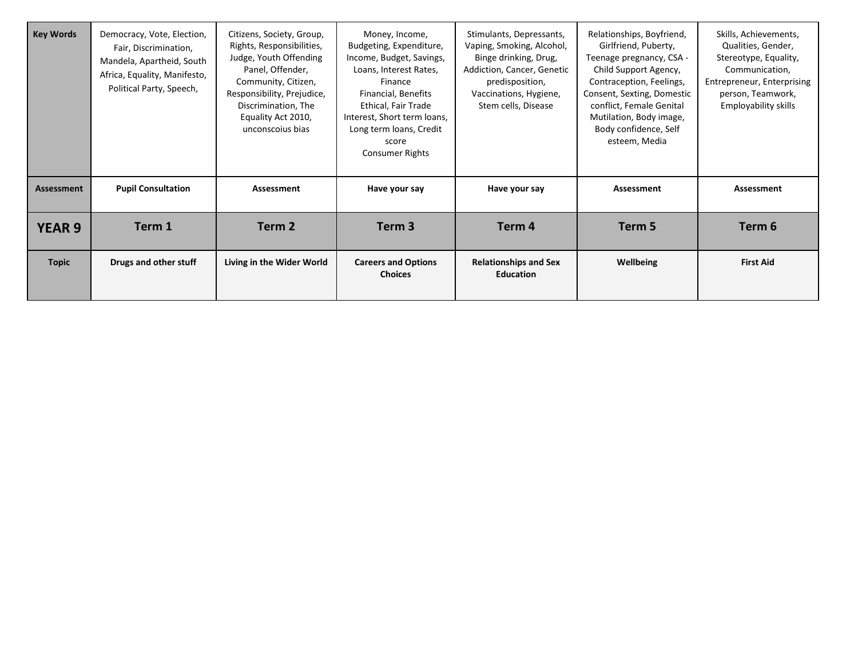| <b>Key Words</b>  | Democracy, Vote, Election,<br>Fair, Discrimination,<br>Mandela, Apartheid, South<br>Africa, Equality, Manifesto,<br>Political Party, Speech, | Citizens, Society, Group,<br>Rights, Responsibilities,<br>Judge, Youth Offending<br>Panel, Offender,<br>Community, Citizen,<br>Responsibility, Prejudice,<br>Discrimination, The<br>Equality Act 2010,<br>unconscoius bias | Money, Income,<br>Budgeting, Expenditure,<br>Income, Budget, Savings,<br>Loans, Interest Rates,<br>Finance<br>Financial, Benefits<br>Ethical, Fair Trade<br>Interest, Short term loans,<br>Long term loans, Credit<br>score<br>Consumer Rights | Stimulants, Depressants,<br>Vaping, Smoking, Alcohol,<br>Binge drinking, Drug,<br>Addiction, Cancer, Genetic<br>predisposition,<br>Vaccinations, Hygiene,<br>Stem cells, Disease | Relationships, Boyfriend,<br>Girlfriend, Puberty,<br>Teenage pregnancy, CSA -<br>Child Support Agency,<br>Contraception, Feelings,<br>Consent, Sexting, Domestic<br>conflict, Female Genital<br>Mutilation, Body image,<br>Body confidence, Self<br>esteem, Media | Skills, Achievements,<br>Qualities, Gender,<br>Stereotype, Equality,<br>Communication,<br><b>Entrepreneur, Enterprising</b><br>person, Teamwork,<br>Employability skills |
|-------------------|----------------------------------------------------------------------------------------------------------------------------------------------|----------------------------------------------------------------------------------------------------------------------------------------------------------------------------------------------------------------------------|------------------------------------------------------------------------------------------------------------------------------------------------------------------------------------------------------------------------------------------------|----------------------------------------------------------------------------------------------------------------------------------------------------------------------------------|-------------------------------------------------------------------------------------------------------------------------------------------------------------------------------------------------------------------------------------------------------------------|--------------------------------------------------------------------------------------------------------------------------------------------------------------------------|
| <b>Assessment</b> | <b>Pupil Consultation</b>                                                                                                                    | Assessment                                                                                                                                                                                                                 | Have your say                                                                                                                                                                                                                                  | Have your say                                                                                                                                                                    | Assessment                                                                                                                                                                                                                                                        | Assessment                                                                                                                                                               |
| <b>YEAR 9</b>     | Term 1                                                                                                                                       | Term 2                                                                                                                                                                                                                     | Term 3                                                                                                                                                                                                                                         | Term 4                                                                                                                                                                           | Term 5                                                                                                                                                                                                                                                            | Term 6                                                                                                                                                                   |
| <b>Topic</b>      | Drugs and other stuff                                                                                                                        | Living in the Wider World                                                                                                                                                                                                  | <b>Careers and Options</b><br><b>Choices</b>                                                                                                                                                                                                   | <b>Relationships and Sex</b><br><b>Education</b>                                                                                                                                 | Wellbeing                                                                                                                                                                                                                                                         | <b>First Aid</b>                                                                                                                                                         |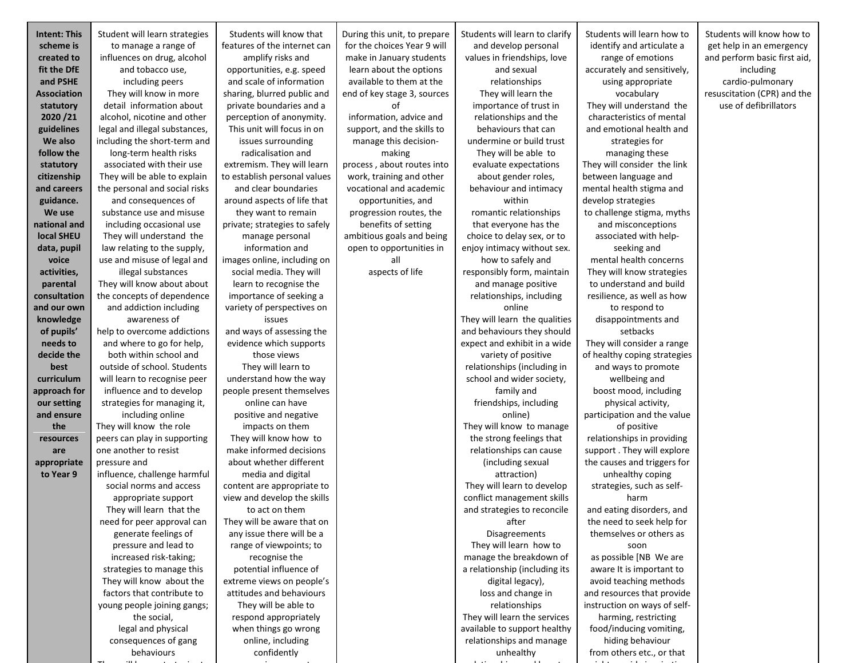| <b>Intent: This</b>      | Student will learn strategies           | Students will know that                           | During this unit, to prepare | Students will learn to clarify                  | Students will learn how to            | Students will know how to    |
|--------------------------|-----------------------------------------|---------------------------------------------------|------------------------------|-------------------------------------------------|---------------------------------------|------------------------------|
| scheme is                | to manage a range of                    | features of the internet can                      | for the choices Year 9 will  | and develop personal                            | identify and articulate a             | get help in an emergency     |
| created to               | influences on drug, alcohol             | amplify risks and                                 | make in January students     | values in friendships, love                     | range of emotions                     | and perform basic first aid, |
| fit the DfE              | and tobacco use,                        | opportunities, e.g. speed                         | learn about the options      | and sexual                                      | accurately and sensitively,           | including                    |
| and PSHE                 | including peers                         | and scale of information                          | available to them at the     | relationships                                   | using appropriate                     | cardio-pulmonary             |
| Association              | They will know in more                  | sharing, blurred public and                       | end of key stage 3, sources  | They will learn the                             | vocabulary                            | resuscitation (CPR) and the  |
| statutory                | detail information about                | private boundaries and a                          | οf                           | importance of trust in                          | They will understand the              | use of defibrillators        |
| 2020 / 21                | alcohol, nicotine and other             | perception of anonymity.                          | information, advice and      | relationships and the                           | characteristics of mental             |                              |
| guidelines               | legal and illegal substances,           | This unit will focus in on                        | support, and the skills to   | behaviours that can                             | and emotional health and              |                              |
| We also                  | including the short-term and            | issues surrounding                                | manage this decision-        | undermine or build trust                        | strategies for                        |                              |
| follow the               | long-term health risks                  | radicalisation and                                | making                       | They will be able to                            | managing these                        |                              |
| statutory                | associated with their use               | extremism. They will learn                        | process, about routes into   | evaluate expectations                           | They will consider the link           |                              |
| citizenship              | They will be able to explain            | to establish personal values                      | work, training and other     | about gender roles,                             | between language and                  |                              |
| and careers              | the personal and social risks           | and clear boundaries                              | vocational and academic      | behaviour and intimacy                          | mental health stigma and              |                              |
| guidance.                | and consequences of                     | around aspects of life that                       | opportunities, and           | within                                          | develop strategies                    |                              |
| We use                   | substance use and misuse                | they want to remain                               | progression routes, the      | romantic relationships                          | to challenge stigma, myths            |                              |
| national and             | including occasional use                | private; strategies to safely                     | benefits of setting          | that everyone has the                           | and misconceptions                    |                              |
| local SHEU               | They will understand the                | manage personal                                   | ambitious goals and being    | choice to delay sex, or to                      | associated with help-                 |                              |
| data, pupil              | law relating to the supply,             | information and<br>images online, including on    | open to opportunities in     | enjoy intimacy without sex.                     | seeking and<br>mental health concerns |                              |
| voice                    | use and misuse of legal and             |                                                   | all                          | how to safely and                               |                                       |                              |
| activities,              | illegal substances                      | social media. They will                           | aspects of life              | responsibly form, maintain                      | They will know strategies             |                              |
| parental<br>consultation | They will know about about              | learn to recognise the<br>importance of seeking a |                              | and manage positive<br>relationships, including | to understand and build               |                              |
|                          | the concepts of dependence              |                                                   |                              |                                                 | resilience, as well as how            |                              |
| and our own              | and addiction including<br>awareness of | variety of perspectives on<br>issues              |                              | online<br>They will learn the qualities         | to respond to                         |                              |
| knowledge<br>of pupils'  | help to overcome addictions             | and ways of assessing the                         |                              | and behaviours they should                      | disappointments and<br>setbacks       |                              |
| needs to                 | and where to go for help,               | evidence which supports                           |                              | expect and exhibit in a wide                    | They will consider a range            |                              |
| decide the               | both within school and                  | those views                                       |                              | variety of positive                             | of healthy coping strategies          |                              |
| best                     | outside of school. Students             | They will learn to                                |                              | relationships (including in                     | and ways to promote                   |                              |
| curriculum               | will learn to recognise peer            | understand how the way                            |                              | school and wider society,                       | wellbeing and                         |                              |
| approach for             | influence and to develop                | people present themselves                         |                              | family and                                      | boost mood, including                 |                              |
| our setting              | strategies for managing it,             | online can have                                   |                              | friendships, including                          | physical activity,                    |                              |
| and ensure               | including online                        | positive and negative                             |                              | online)                                         | participation and the value           |                              |
| the                      | They will know the role                 | impacts on them                                   |                              | They will know to manage                        | of positive                           |                              |
| resources                | peers can play in supporting            | They will know how to                             |                              | the strong feelings that                        | relationships in providing            |                              |
| are                      | one another to resist                   | make informed decisions                           |                              | relationships can cause                         | support . They will explore           |                              |
| appropriate              | pressure and                            | about whether different                           |                              | (including sexual                               | the causes and triggers for           |                              |
| to Year 9                | influence, challenge harmful            | media and digital                                 |                              | attraction)                                     | unhealthy coping                      |                              |
|                          | social norms and access                 | content are appropriate to                        |                              | They will learn to develop                      | strategies, such as self-             |                              |
|                          | appropriate support                     | view and develop the skills                       |                              | conflict management skills                      | harm                                  |                              |
|                          | They will learn that the                | to act on them                                    |                              | and strategies to reconcile                     | and eating disorders, and             |                              |
|                          | need for peer approval can              | They will be aware that on                        |                              | after                                           | the need to seek help for             |                              |
|                          | generate feelings of                    | any issue there will be a                         |                              | <b>Disagreements</b>                            | themselves or others as               |                              |
|                          | pressure and lead to                    | range of viewpoints; to                           |                              | They will learn how to                          | soon                                  |                              |
|                          | increased risk-taking;                  | recognise the                                     |                              | manage the breakdown of                         | as possible [NB We are                |                              |
|                          | strategies to manage this               | potential influence of                            |                              | a relationship (including its                   | aware It is important to              |                              |
|                          | They will know about the                | extreme views on people's                         |                              | digital legacy),                                | avoid teaching methods                |                              |
|                          | factors that contribute to              | attitudes and behaviours                          |                              | loss and change in                              | and resources that provide            |                              |
|                          | young people joining gangs;             | They will be able to                              |                              | relationships                                   | instruction on ways of self-          |                              |
|                          | the social,                             | respond appropriately                             |                              | They will learn the services                    | harming, restricting                  |                              |
|                          | legal and physical                      | when things go wrong                              |                              | available to support healthy                    | food/inducing vomiting,               |                              |
|                          | consequences of gang                    | online, including                                 |                              | relationships and manage                        | hiding behaviour                      |                              |
|                          | behaviours                              | confidently                                       |                              | unhealthy                                       | from others etc., or that             |                              |
|                          |                                         |                                                   |                              |                                                 |                                       |                              |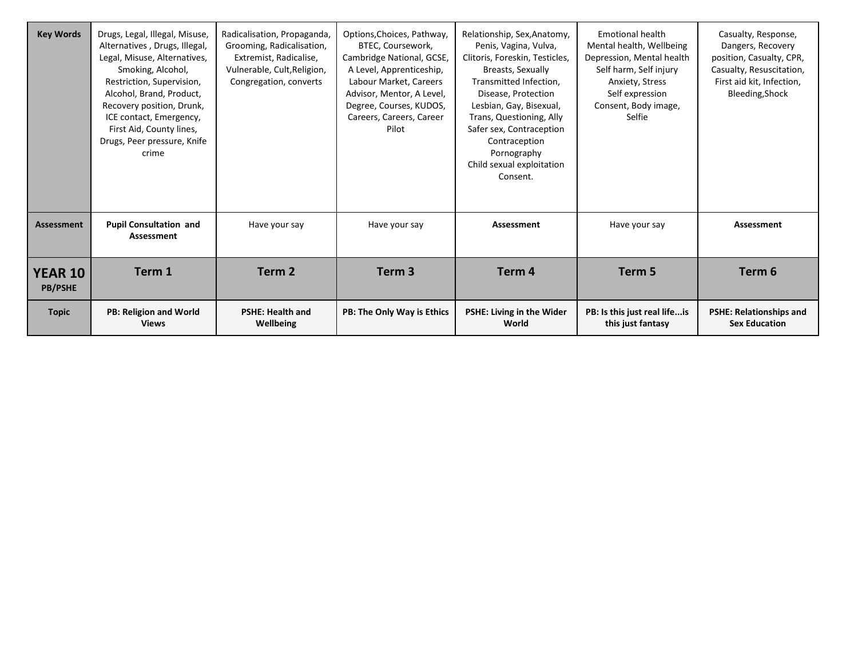| <b>Key Words</b>                 | Drugs, Legal, Illegal, Misuse,<br>Alternatives, Drugs, Illegal,<br>Legal, Misuse, Alternatives,<br>Smoking, Alcohol,<br>Restriction, Supervision,<br>Alcohol, Brand, Product,<br>Recovery position, Drunk,<br>ICE contact, Emergency,<br>First Aid, County lines,<br>Drugs, Peer pressure, Knife<br>crime | Radicalisation, Propaganda,<br>Grooming, Radicalisation,<br>Extremist, Radicalise,<br>Vulnerable, Cult, Religion,<br>Congregation, converts | Options, Choices, Pathway,<br>BTEC. Coursework.<br>Cambridge National, GCSE,<br>A Level, Apprenticeship,<br>Labour Market, Careers<br>Advisor, Mentor, A Level,<br>Degree, Courses, KUDOS,<br>Careers, Careers, Career<br>Pilot | Relationship, Sex, Anatomy,<br>Penis, Vagina, Vulva,<br>Clitoris, Foreskin, Testicles,<br>Breasts, Sexually<br>Transmitted Infection,<br>Disease, Protection<br>Lesbian, Gay, Bisexual,<br>Trans, Questioning, Ally<br>Safer sex, Contraception<br>Contraception<br>Pornography<br>Child sexual exploitation<br>Consent. | <b>Emotional health</b><br>Mental health, Wellbeing<br>Depression, Mental health<br>Self harm, Self injury<br>Anxiety, Stress<br>Self expression<br>Consent, Body image,<br>Selfie | Casualty, Response,<br>Dangers, Recovery<br>position, Casualty, CPR,<br>Casualty, Resuscitation,<br>First aid kit, Infection,<br>Bleeding, Shock |
|----------------------------------|-----------------------------------------------------------------------------------------------------------------------------------------------------------------------------------------------------------------------------------------------------------------------------------------------------------|---------------------------------------------------------------------------------------------------------------------------------------------|---------------------------------------------------------------------------------------------------------------------------------------------------------------------------------------------------------------------------------|--------------------------------------------------------------------------------------------------------------------------------------------------------------------------------------------------------------------------------------------------------------------------------------------------------------------------|------------------------------------------------------------------------------------------------------------------------------------------------------------------------------------|--------------------------------------------------------------------------------------------------------------------------------------------------|
| <b>Assessment</b>                | <b>Pupil Consultation and</b><br>Assessment                                                                                                                                                                                                                                                               | Have your say                                                                                                                               | Have your say                                                                                                                                                                                                                   | Assessment                                                                                                                                                                                                                                                                                                               | Have your say                                                                                                                                                                      | Assessment                                                                                                                                       |
| <b>YEAR 10</b><br><b>PB/PSHE</b> | Term 1                                                                                                                                                                                                                                                                                                    | Term 2                                                                                                                                      | Term <sub>3</sub>                                                                                                                                                                                                               | Term 4                                                                                                                                                                                                                                                                                                                   | Term 5                                                                                                                                                                             | Term 6                                                                                                                                           |
| <b>Topic</b>                     | <b>PB: Religion and World</b><br><b>Views</b>                                                                                                                                                                                                                                                             | <b>PSHE: Health and</b><br>Wellbeing                                                                                                        | PB: The Only Way is Ethics                                                                                                                                                                                                      | PSHE: Living in the Wider<br>World                                                                                                                                                                                                                                                                                       | PB: Is this just real life is<br>this just fantasy                                                                                                                                 | <b>PSHE: Relationships and</b><br><b>Sex Education</b>                                                                                           |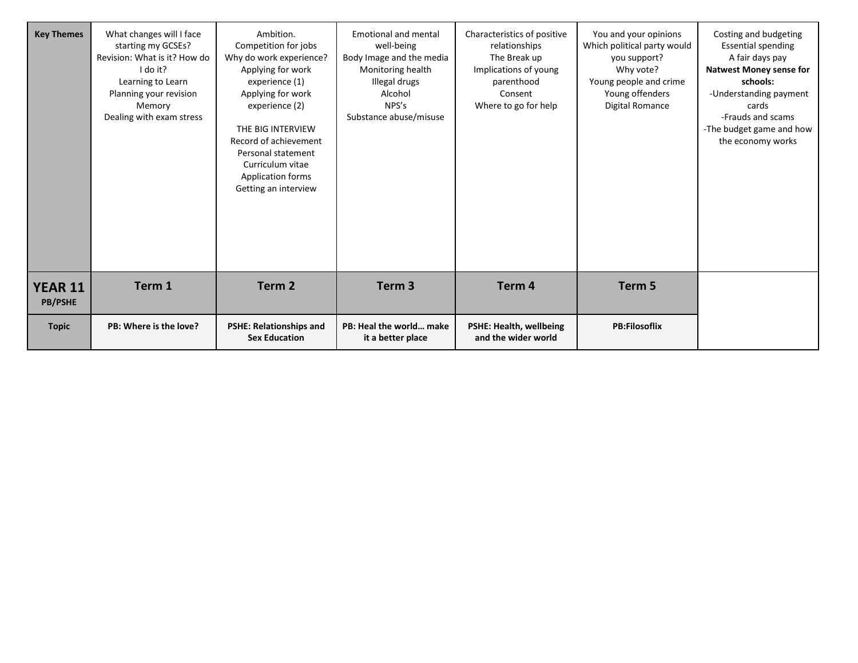| <b>Key Themes</b>                | What changes will I face<br>starting my GCSEs?<br>Revision: What is it? How do<br>I do it?<br>Learning to Learn<br>Planning your revision<br>Memory<br>Dealing with exam stress | Ambition.<br>Competition for jobs<br>Why do work experience?<br>Applying for work<br>experience (1)<br>Applying for work<br>experience (2)<br>THE BIG INTERVIEW<br>Record of achievement<br>Personal statement<br>Curriculum vitae<br><b>Application forms</b><br>Getting an interview | <b>Emotional and mental</b><br>well-being<br>Body Image and the media<br>Monitoring health<br>Illegal drugs<br>Alcohol<br>NPS's<br>Substance abuse/misuse | Characteristics of positive<br>relationships<br>The Break up<br>Implications of young<br>parenthood<br>Consent<br>Where to go for help | You and your opinions<br>Which political party would<br>you support?<br>Why vote?<br>Young people and crime<br>Young offenders<br>Digital Romance | Costing and budgeting<br><b>Essential spending</b><br>A fair days pay<br><b>Natwest Money sense for</b><br>schools:<br>-Understanding payment<br>cards<br>-Frauds and scams<br>-The budget game and how<br>the economy works |
|----------------------------------|---------------------------------------------------------------------------------------------------------------------------------------------------------------------------------|----------------------------------------------------------------------------------------------------------------------------------------------------------------------------------------------------------------------------------------------------------------------------------------|-----------------------------------------------------------------------------------------------------------------------------------------------------------|----------------------------------------------------------------------------------------------------------------------------------------|---------------------------------------------------------------------------------------------------------------------------------------------------|------------------------------------------------------------------------------------------------------------------------------------------------------------------------------------------------------------------------------|
| <b>YEAR 11</b><br><b>PB/PSHE</b> | Term 1                                                                                                                                                                          | Term 2                                                                                                                                                                                                                                                                                 | Term <sub>3</sub>                                                                                                                                         | Term 4                                                                                                                                 | Term 5                                                                                                                                            |                                                                                                                                                                                                                              |
| <b>Topic</b>                     | PB: Where is the love?                                                                                                                                                          | <b>PSHE: Relationships and</b><br><b>Sex Education</b>                                                                                                                                                                                                                                 | PB: Heal the world make<br>it a better place                                                                                                              | <b>PSHE: Health, wellbeing</b><br>and the wider world                                                                                  | <b>PB:Filosoflix</b>                                                                                                                              |                                                                                                                                                                                                                              |